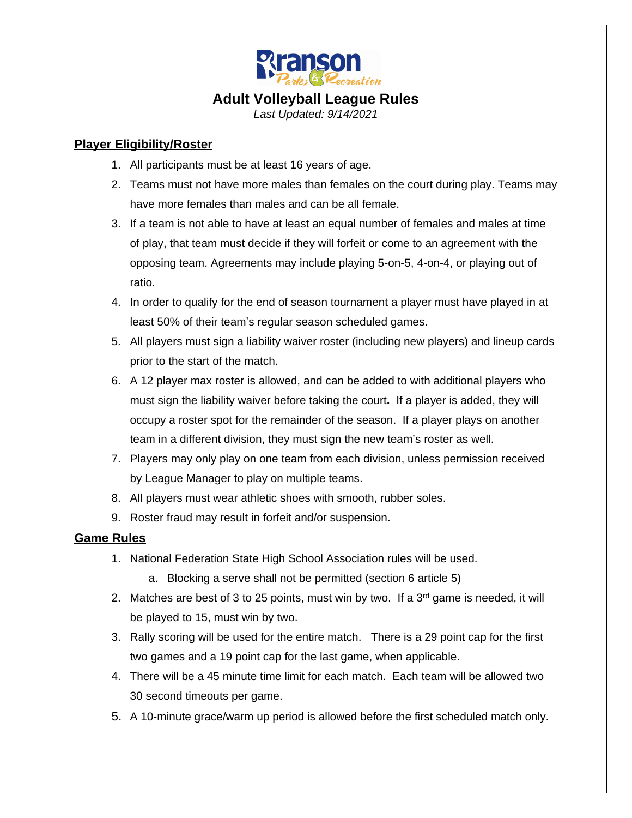

# **Adult Volleyball League Rules**

*Last Updated: 9/14/2021*

## **Player Eligibility/Roster**

- 1. All participants must be at least 16 years of age.
- 2. Teams must not have more males than females on the court during play. Teams may have more females than males and can be all female.
- 3. If a team is not able to have at least an equal number of females and males at time of play, that team must decide if they will forfeit or come to an agreement with the opposing team. Agreements may include playing 5-on-5, 4-on-4, or playing out of ratio.
- 4. In order to qualify for the end of season tournament a player must have played in at least 50% of their team's regular season scheduled games.
- 5. All players must sign a liability waiver roster (including new players) and lineup cards prior to the start of the match.
- 6. A 12 player max roster is allowed, and can be added to with additional players who must sign the liability waiver before taking the court**.** If a player is added, they will occupy a roster spot for the remainder of the season.If a player plays on another team in a different division, they must sign the new team's roster as well.
- 7. Players may only play on one team from each division, unless permission received by League Manager to play on multiple teams.
- 8. All players must wear athletic shoes with smooth, rubber soles.
- 9. Roster fraud may result in forfeit and/or suspension.

### **Game Rules**

- 1. National Federation State High School Association rules will be used.
	- a. Blocking a serve shall not be permitted (section 6 article 5)
- 2. Matches are best of 3 to 25 points, must win by two. If a  $3<sup>rd</sup>$  game is needed, it will be played to 15, must win by two.
- 3. Rally scoring will be used for the entire match. There is a 29 point cap for the first two games and a 19 point cap for the last game, when applicable.
- 4. There will be a 45 minute time limit for each match. Each team will be allowed two 30 second timeouts per game.
- 5. A 10-minute grace/warm up period is allowed before the first scheduled match only.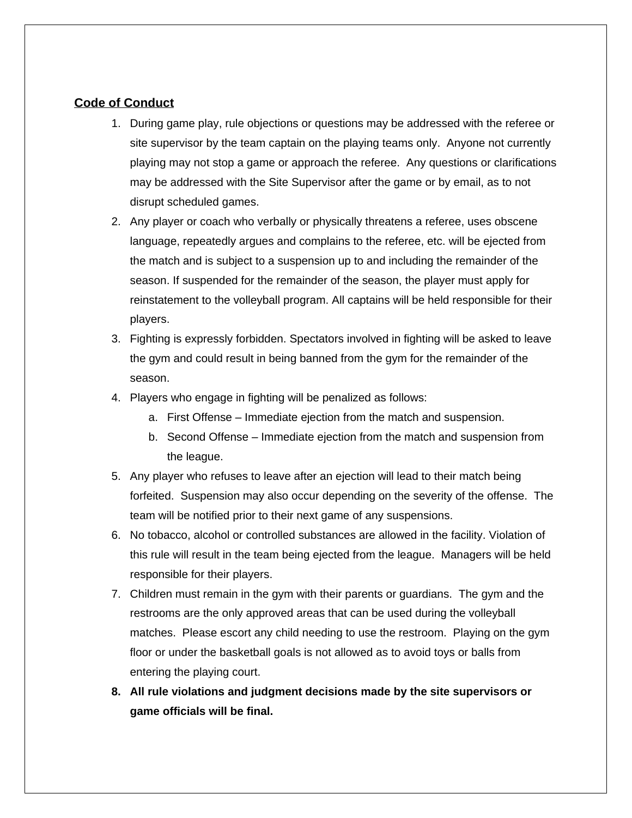#### **Code of Conduct**

- 1. During game play, rule objections or questions may be addressed with the referee or site supervisor by the team captain on the playing teams only. Anyone not currently playing may not stop a game or approach the referee. Any questions or clarifications may be addressed with the Site Supervisor after the game or by email, as to not disrupt scheduled games.
- 2. Any player or coach who verbally or physically threatens a referee, uses obscene language, repeatedly argues and complains to the referee, etc. will be ejected from the match and is subject to a suspension up to and including the remainder of the season. If suspended for the remainder of the season, the player must apply for reinstatement to the volleyball program. All captains will be held responsible for their players.
- 3. Fighting is expressly forbidden. Spectators involved in fighting will be asked to leave the gym and could result in being banned from the gym for the remainder of the season.
- 4. Players who engage in fighting will be penalized as follows:
	- a. First Offense Immediate ejection from the match and suspension.
	- b. Second Offense Immediate ejection from the match and suspension from the league.
- 5. Any player who refuses to leave after an ejection will lead to their match being forfeited. Suspension may also occur depending on the severity of the offense. The team will be notified prior to their next game of any suspensions.
- 6. No tobacco, alcohol or controlled substances are allowed in the facility. Violation of this rule will result in the team being ejected from the league. Managers will be held responsible for their players.
- 7. Children must remain in the gym with their parents or guardians. The gym and the restrooms are the only approved areas that can be used during the volleyball matches. Please escort any child needing to use the restroom. Playing on the gym floor or under the basketball goals is not allowed as to avoid toys or balls from entering the playing court.
- **8. All rule violations and judgment decisions made by the site supervisors or game officials will be final.**